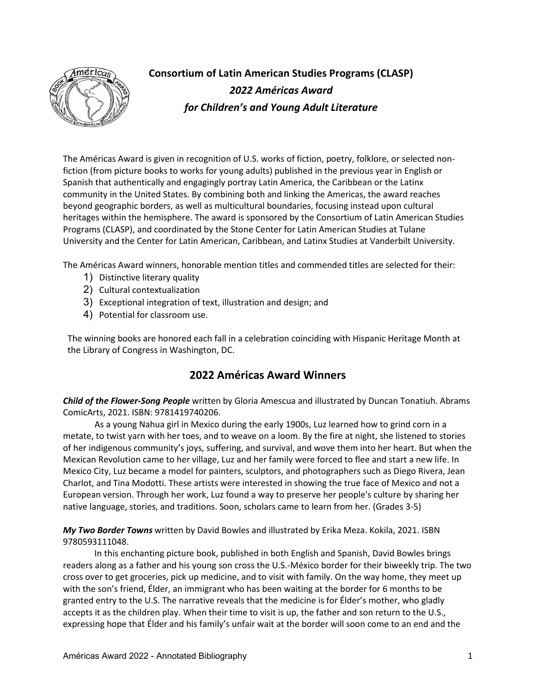

**Consortium of Latin American Studies Programs (CLASP)** *2022 Américas Award for Children's and Young Adult Literature*

The Américas Award is given in recognition of U.S. works of fiction, poetry, folklore, or selected nonfiction (from picture books to works for young adults) published in the previous year in English or Spanish that authentically and engagingly portray Latin America, the Caribbean or the Latinx community in the United States. By combining both and linking the Americas, the award reaches beyond geographic borders, as well as multicultural boundaries, focusing instead upon cultural heritages within the hemisphere. The award is sponsored by the Consortium of Latin American Studies Programs (CLASP), and coordinated by the Stone Center for Latin American Studies at Tulane University and the Center for Latin American, Caribbean, and Latinx Studies at Vanderbilt University.

The Américas Award winners, honorable mention titles and commended titles are selected for their:

- 1) Distinctive literary quality
- 2) Cultural contextualization
- 3) Exceptional integration of text, illustration and design; and
- 4) Potential for classroom use.

The winning books are honored each fall in a celebration coinciding with Hispanic Heritage Month at the Library of Congress in Washington, DC.

# **2022 Américas Award Winners**

*Child of the Flower-Song People* written by Gloria Amescua and illustrated by Duncan Tonatiuh. Abrams ComicArts, 2021. ISBN: 9781419740206.

As a young Nahua girl in Mexico during the early 1900s, Luz learned how to grind corn in a metate, to twist yarn with her toes, and to weave on a loom. By the fire at night, she listened to stories of her indigenous community's joys, suffering, and survival, and wove them into her heart. But when the Mexican Revolution came to her village, Luz and her family were forced to flee and start a new life. In Mexico City, Luz became a model for painters, sculptors, and photographers such as Diego Rivera, Jean Charlot, and Tina Modotti. These artists were interested in showing the true face of Mexico and not a European version. Through her work, Luz found a way to preserve her people's culture by sharing her native language, stories, and traditions. Soon, scholars came to learn from her. (Grades 3-5)

*My Two Border Towns* written by David Bowles and illustrated by Erika Meza. Kokila, 2021. ISBN 9780593111048.

In this enchanting picture book, published in both English and Spanish, David Bowles brings readers along as a father and his young son cross the U.S.-México border for their biweekly trip. The two cross over to get groceries, pick up medicine, and to visit with family. On the way home, they meet up with the son's friend, Élder, an immigrant who has been waiting at the border for 6 months to be granted entry to the U.S. The narrative reveals that the medicine is for Élder's mother, who gladly accepts it as the children play. When their time to visit is up, the father and son return to the U.S., expressing hope that Élder and his family's unfair wait at the border will soon come to an end and the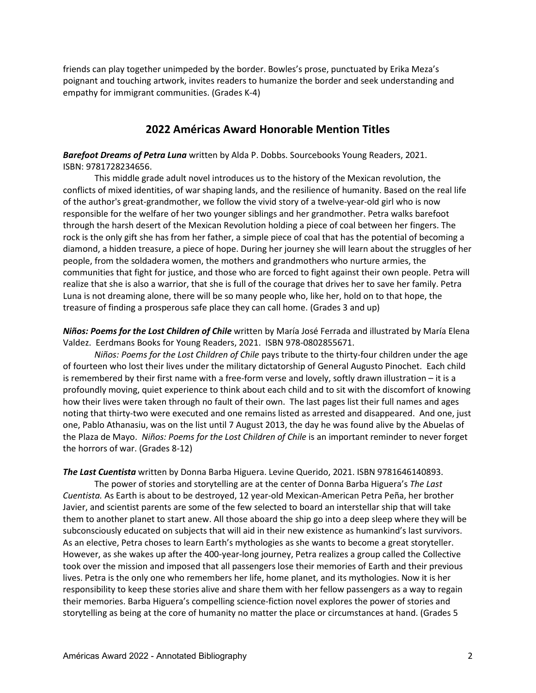friends can play together unimpeded by the border. Bowles's prose, punctuated by Erika Meza's poignant and touching artwork, invites readers to humanize the border and seek understanding and empathy for immigrant communities. (Grades K-4)

# **2022 Américas Award Honorable Mention Titles**

*Barefoot Dreams of Petra Luna* written by Alda P. Dobbs. Sourcebooks Young Readers, 2021. ISBN: 9781728234656.

This middle grade adult novel introduces us to the history of the Mexican revolution, the conflicts of mixed identities, of war shaping lands, and the resilience of humanity. Based on the real life of the author's great-grandmother, we follow the vivid story of a twelve-year-old girl who is now responsible for the welfare of her two younger siblings and her grandmother. Petra walks barefoot through the harsh desert of the Mexican Revolution holding a piece of coal between her fingers. The rock is the only gift she has from her father, a simple piece of coal that has the potential of becoming a diamond, a hidden treasure, a piece of hope. During her journey she will learn about the struggles of her people, from the soldadera women, the mothers and grandmothers who nurture armies, the communities that fight for justice, and those who are forced to fight against their own people. Petra will realize that she is also a warrior, that she is full of the courage that drives her to save her family. Petra Luna is not dreaming alone, there will be so many people who, like her, hold on to that hope, the treasure of finding a prosperous safe place they can call home. (Grades 3 and up)

*Niños: Poems for the Lost Children of Chile* written by María José Ferrada and illustrated by María Elena Valdez. Eerdmans Books for Young Readers, 2021. ISBN 978-0802855671.

*Niños: Poems for the Lost Children of Chile* pays tribute to the thirty-four children under the age of fourteen who lost their lives under the military dictatorship of General Augusto Pinochet. Each child is remembered by their first name with a free-form verse and lovely, softly drawn illustration – it is a profoundly moving, quiet experience to think about each child and to sit with the discomfort of knowing how their lives were taken through no fault of their own. The last pages list their full names and ages noting that thirty-two were executed and one remains listed as arrested and disappeared. And one, just one, Pablo Athanasiu, was on the list until 7 August 2013, the day he was found alive by the Abuelas of the Plaza de Mayo. *Niños: Poems for the Lost Children of Chile* is an important reminder to never forget the horrors of war. (Grades 8-12)

*The Last Cuentista* written by Donna Barba Higuera. Levine Querido, 2021. ISBN 9781646140893.

The power of stories and storytelling are at the center of Donna Barba Higuera's *The Last Cuentista.* As Earth is about to be destroyed, 12 year-old Mexican-American Petra Peña, her brother Javier, and scientist parents are some of the few selected to board an interstellar ship that will take them to another planet to start anew. All those aboard the ship go into a deep sleep where they will be subconsciously educated on subjects that will aid in their new existence as humankind's last survivors. As an elective, Petra choses to learn Earth's mythologies as she wants to become a great storyteller. However, as she wakes up after the 400-year-long journey, Petra realizes a group called the Collective took over the mission and imposed that all passengers lose their memories of Earth and their previous lives. Petra is the only one who remembers her life, home planet, and its mythologies. Now it is her responsibility to keep these stories alive and share them with her fellow passengers as a way to regain their memories. Barba Higuera's compelling science-fiction novel explores the power of stories and storytelling as being at the core of humanity no matter the place or circumstances at hand. (Grades 5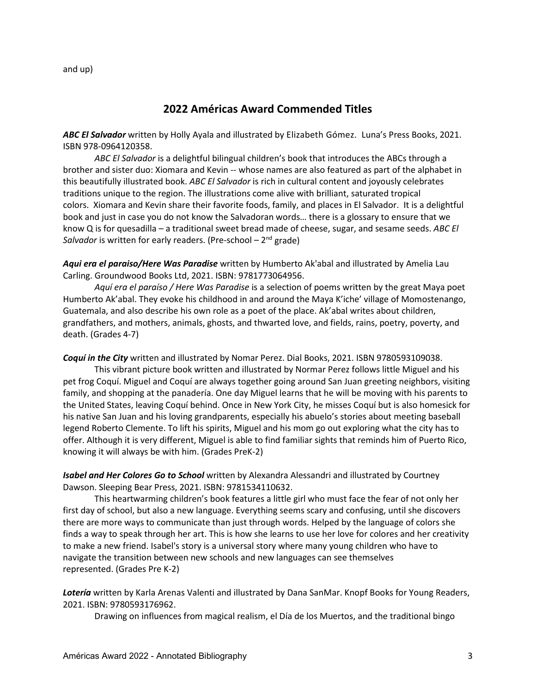and up)

# **2022 Américas Award Commended Titles**

*ABC El Salvador* written by Holly Ayala and illustrated by Elizabeth Gómez. Luna's Press Books, 2021. ISBN 978-0964120358.

*ABC El Salvador* is a delightful bilingual children's book that introduces the ABCs through a brother and sister duo: Xiomara and Kevin -- whose names are also featured as part of the alphabet in this beautifully illustrated book. *ABC El Salvador* is rich in cultural content and joyously celebrates traditions unique to the region. The illustrations come alive with brilliant, saturated tropical colors. Xiomara and Kevin share their favorite foods, family, and places in El Salvador. It is a delightful book and just in case you do not know the Salvadoran words… there is a glossary to ensure that we know Q is for quesadilla – a traditional sweet bread made of cheese, sugar, and sesame seeds. *ABC El Salvador* is written for early readers. (Pre-school – 2<sup>nd</sup> grade)

*Aqui era el paraiso/Here Was Paradise* written by Humberto Ak'abal and illustrated by Amelia Lau Carling. Groundwood Books Ltd, 2021. ISBN: 9781773064956.

*Aquí era el paraíso / Here Was Paradise* is a selection of poems written by the great Maya poet Humberto Ak'abal. They evoke his childhood in and around the Maya K'iche' village of Momostenango, Guatemala, and also describe his own role as a poet of the place. Ak'abal writes about children, grandfathers, and mothers, animals, ghosts, and thwarted love, and fields, rains, poetry, poverty, and death. (Grades 4-7)

*Coquí in the City* written and illustrated by Nomar Perez. Dial Books, 2021. ISBN 9780593109038.

This vibrant picture book written and illustrated by Normar Perez follows little Miguel and his pet frog Coquí. Miguel and Coquí are always together going around San Juan greeting neighbors, visiting family, and shopping at the panadería. One day Miguel learns that he will be moving with his parents to the United States, leaving Coquí behind. Once in New York City, he misses Coquí but is also homesick for his native San Juan and his loving grandparents, especially his abuelo's stories about meeting baseball legend Roberto Clemente. To lift his spirits, Miguel and his mom go out exploring what the city has to offer. Although it is very different, Miguel is able to find familiar sights that reminds him of Puerto Rico, knowing it will always be with him. (Grades PreK-2)

*Isabel and Her Colores Go to School* written by Alexandra Alessandri and illustrated by Courtney Dawson. Sleeping Bear Press, 2021. ISBN: 9781534110632.

This heartwarming children's book features a little girl who must face the fear of not only her first day of school, but also a new language. Everything seems scary and confusing, until she discovers there are more ways to communicate than just through words. Helped by the language of colors she finds a way to speak through her art. This is how she learns to use her love for colores and her creativity to make a new friend. Isabel's story is a universal story where many young children who have to navigate the transition between new schools and new languages can see themselves represented. (Grades Pre K-2)

*Lotería* written by Karla Arenas Valenti and illustrated by Dana SanMar. Knopf Books for Young Readers, 2021. ISBN: 9780593176962.

Drawing on influences from magical realism, el Día de los Muertos, and the traditional bingo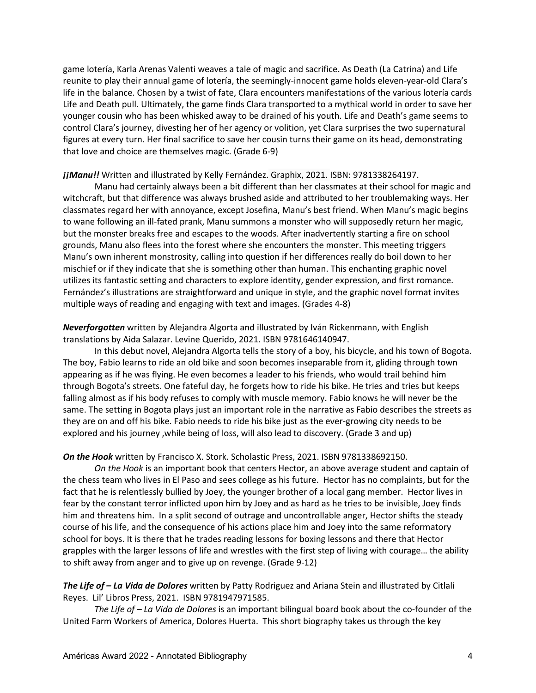game lotería, Karla Arenas Valenti weaves a tale of magic and sacrifice. As Death (La Catrina) and Life reunite to play their annual game of lotería, the seemingly-innocent game holds eleven-year-old Clara's life in the balance. Chosen by a twist of fate, Clara encounters manifestations of the various lotería cards Life and Death pull. Ultimately, the game finds Clara transported to a mythical world in order to save her younger cousin who has been whisked away to be drained of his youth. Life and Death's game seems to control Clara's journey, divesting her of her agency or volition, yet Clara surprises the two supernatural figures at every turn. Her final sacrifice to save her cousin turns their game on its head, demonstrating that love and choice are themselves magic. (Grade 6-9)

#### *¡¡Manu!!* Written and illustrated by Kelly Fernández. Graphix, 2021. ISBN: 9781338264197.

Manu had certainly always been a bit different than her classmates at their school for magic and witchcraft, but that difference was always brushed aside and attributed to her troublemaking ways. Her classmates regard her with annoyance, except Josefina, Manu's best friend. When Manu's magic begins to wane following an ill-fated prank, Manu summons a monster who will supposedly return her magic, but the monster breaks free and escapes to the woods. After inadvertently starting a fire on school grounds, Manu also flees into the forest where she encounters the monster. This meeting triggers Manu's own inherent monstrosity, calling into question if her differences really do boil down to her mischief or if they indicate that she is something other than human. This enchanting graphic novel utilizes its fantastic setting and characters to explore identity, gender expression, and first romance. Fernández's illustrations are straightforward and unique in style, and the graphic novel format invites multiple ways of reading and engaging with text and images. (Grades 4-8)

### *Neverforgotten* written by Alejandra Algorta and illustrated by Iván Rickenmann, with English translations by Aida Salazar. Levine Querido, 2021. ISBN 9781646140947.

In this debut novel, Alejandra Algorta tells the story of a boy, his bicycle, and his town of Bogota. The boy, Fabio learns to ride an old bike and soon becomes inseparable from it, gliding through town appearing as if he was flying. He even becomes a leader to his friends, who would trail behind him through Bogota's streets. One fateful day, he forgets how to ride his bike. He tries and tries but keeps falling almost as if his body refuses to comply with muscle memory. Fabio knows he will never be the same. The setting in Bogota plays just an important role in the narrative as Fabio describes the streets as they are on and off his bike. Fabio needs to ride his bike just as the ever-growing city needs to be explored and his journey ,while being of loss, will also lead to discovery. (Grade 3 and up)

### *On the Hook* written by Francisco X. Stork. Scholastic Press, 2021. ISBN 9781338692150.

*On the Hook* is an important book that centers Hector, an above average student and captain of the chess team who lives in El Paso and sees college as his future. Hector has no complaints, but for the fact that he is relentlessly bullied by Joey, the younger brother of a local gang member. Hector lives in fear by the constant terror inflicted upon him by Joey and as hard as he tries to be invisible, Joey finds him and threatens him. In a split second of outrage and uncontrollable anger, Hector shifts the steady course of his life, and the consequence of his actions place him and Joey into the same reformatory school for boys. It is there that he trades reading lessons for boxing lessons and there that Hector grapples with the larger lessons of life and wrestles with the first step of living with courage… the ability to shift away from anger and to give up on revenge. (Grade 9-12)

*The Life of – La Vida de Dolores* written by Patty Rodriguez and Ariana Stein and illustrated by Citlali Reyes. Lil' Libros Press, 2021. ISBN 9781947971585.

*The Life of – La Vida de Dolores* is an important bilingual board book about the co-founder of the United Farm Workers of America, Dolores Huerta. This short biography takes us through the key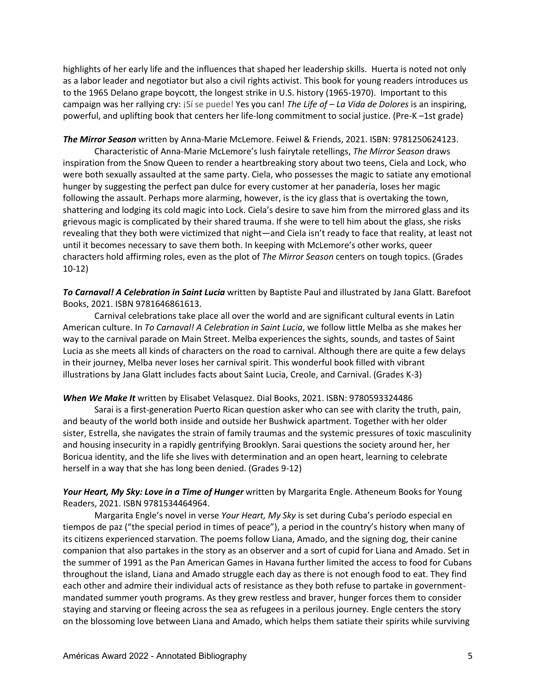highlights of her early life and the influences that shaped her leadership skills. Huerta is noted not only as a labor leader and negotiator but also a civil rights activist. This book for young readers introduces us to the 1965 Delano grape boycott, the longest strike in U.S. history (1965-1970). Important to this campaign was her rallying cry: ¡Sí se puede! Yes you can! *The Life of – La Vida de Dolores* is an inspiring, powerful, and uplifting book that centers her life-long commitment to social justice. (Pre-K –1st grade)

*The Mirror Season* written by Anna-Marie McLemore. Feiwel & Friends, 2021. ISBN: 9781250624123.

Characteristic of Anna-Marie McLemore's lush fairytale retellings, *The Mirror Season* draws inspiration from the Snow Queen to render a heartbreaking story about two teens, Ciela and Lock, who were both sexually assaulted at the same party. Ciela, who possesses the magic to satiate any emotional hunger by suggesting the perfect pan dulce for every customer at her panadería, loses her magic following the assault. Perhaps more alarming, however, is the icy glass that is overtaking the town, shattering and lodging its cold magic into Lock. Ciela's desire to save him from the mirrored glass and its grievous magic is complicated by their shared trauma. If she were to tell him about the glass, she risks revealing that they both were victimized that night—and Ciela isn't ready to face that reality, at least not until it becomes necessary to save them both. In keeping with McLemore's other works, queer characters hold affirming roles, even as the plot of *The Mirror Season* centers on tough topics. (Grades 10-12)

*To Carnaval! A Celebration in Saint Lucia* written by Baptiste Paul and illustrated by Jana Glatt. Barefoot Books, 2021. ISBN 9781646861613.

Carnival celebrations take place all over the world and are significant cultural events in Latin American culture. In *To Carnaval! A Celebration in Saint Lucia*, we follow little Melba as she makes her way to the carnival parade on Main Street. Melba experiences the sights, sounds, and tastes of Saint Lucia as she meets all kinds of characters on the road to carnival. Although there are quite a few delays in their journey, Melba never loses her carnival spirit. This wonderful book filled with vibrant illustrations by Jana Glatt includes facts about Saint Lucia, Creole, and Carnival. (Grades K-3)

### *When We Make It* written by Elisabet Velasquez. Dial Books, 2021. ISBN: 9780593324486

Sarai is a first-generation Puerto Rican question asker who can see with clarity the truth, pain, and beauty of the world both inside and outside her Bushwick apartment. Together with her older sister, Estrella, she navigates the strain of family traumas and the systemic pressures of toxic masculinity and housing insecurity in a rapidly gentrifying Brooklyn. Sarai questions the society around her, her Boricua identity, and the life she lives with determination and an open heart, learning to celebrate herself in a way that she has long been denied. (Grades 9-12)

*Your Heart, My Sky: Love in a Time of Hunger* written by Margarita Engle. Atheneum Books for Young Readers, 2021. ISBN 9781534464964.

Margarita Engle's novel in verse *Your Heart, My Sky* is set during Cuba's período especial en tiempos de paz ("the special period in times of peace"), a period in the country's history when many of its citizens experienced starvation. The poems follow Liana, Amado, and the signing dog, their canine companion that also partakes in the story as an observer and a sort of cupid for Liana and Amado. Set in the summer of 1991 as the Pan American Games in Havana further limited the access to food for Cubans throughout the island, Liana and Amado struggle each day as there is not enough food to eat. They find each other and admire their individual acts of resistance as they both refuse to partake in governmentmandated summer youth programs. As they grew restless and braver, hunger forces them to consider staying and starving or fleeing across the sea as refugees in a perilous journey. Engle centers the story on the blossoming love between Liana and Amado, which helps them satiate their spirits while surviving